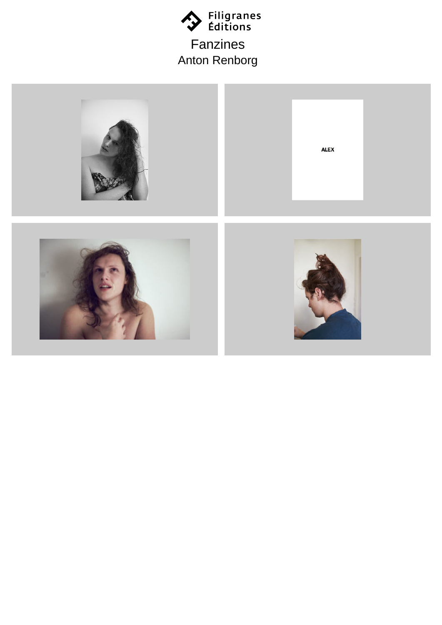